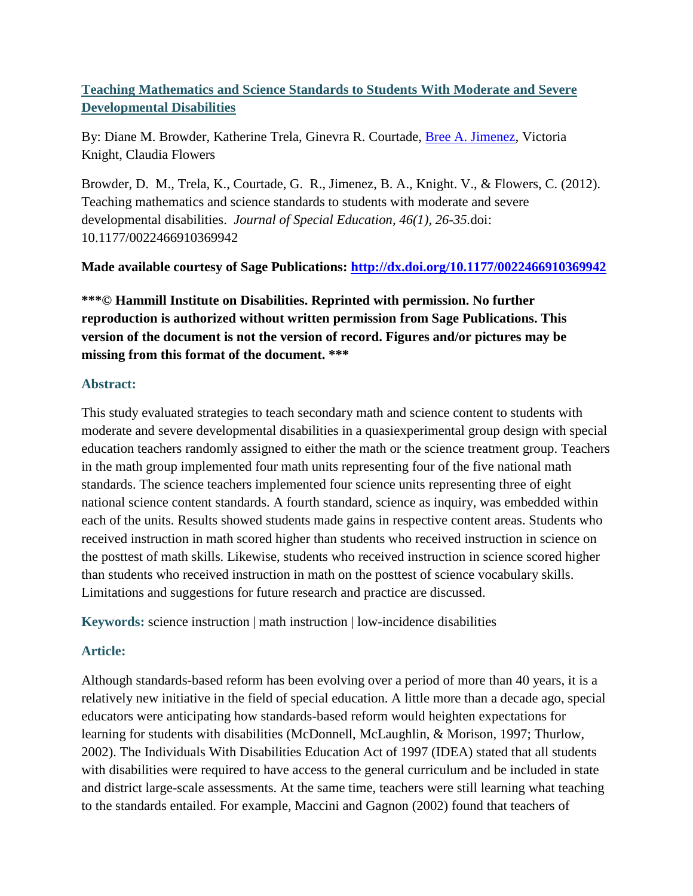**Teaching Mathematics and Science Standards to Students With Moderate and Severe Developmental Disabilities**

By: Diane M. Browder, Katherine Trela, Ginevra R. Courtade, [Bree A. Jimenez,](http://libres.uncg.edu/ir/uncg/clist.aspx?id=8918) Victoria Knight, Claudia Flowers

Browder, D. M., Trela, K., Courtade, G. R., Jimenez, B. A., Knight. V., & Flowers, C. (2012). Teaching mathematics and science standards to students with moderate and severe developmental disabilities. *Journal of Special Education, 46(1), 26-35.*doi: 10.1177/0022466910369942

**Made available courtesy of Sage Publications:<http://dx.doi.org/10.1177/0022466910369942>**

**\*\*\*© Hammill Institute on Disabilities. Reprinted with permission. No further reproduction is authorized without written permission from Sage Publications. This version of the document is not the version of record. Figures and/or pictures may be missing from this format of the document. \*\*\***

## **Abstract:**

This study evaluated strategies to teach secondary math and science content to students with moderate and severe developmental disabilities in a quasiexperimental group design with special education teachers randomly assigned to either the math or the science treatment group. Teachers in the math group implemented four math units representing four of the five national math standards. The science teachers implemented four science units representing three of eight national science content standards. A fourth standard, science as inquiry, was embedded within each of the units. Results showed students made gains in respective content areas. Students who received instruction in math scored higher than students who received instruction in science on the posttest of math skills. Likewise, students who received instruction in science scored higher than students who received instruction in math on the posttest of science vocabulary skills. Limitations and suggestions for future research and practice are discussed.

**Keywords:** science instruction | math instruction | low-incidence disabilities

# **Article:**

Although standards-based reform has been evolving over a period of more than 40 years, it is a relatively new initiative in the field of special education. A little more than a decade ago, special educators were anticipating how standards-based reform would heighten expectations for learning for students with disabilities (McDonnell, McLaughlin, & Morison, 1997; Thurlow, 2002). The Individuals With Disabilities Education Act of 1997 (IDEA) stated that all students with disabilities were required to have access to the general curriculum and be included in state and district large-scale assessments. At the same time, teachers were still learning what teaching to the standards entailed. For example, Maccini and Gagnon (2002) found that teachers of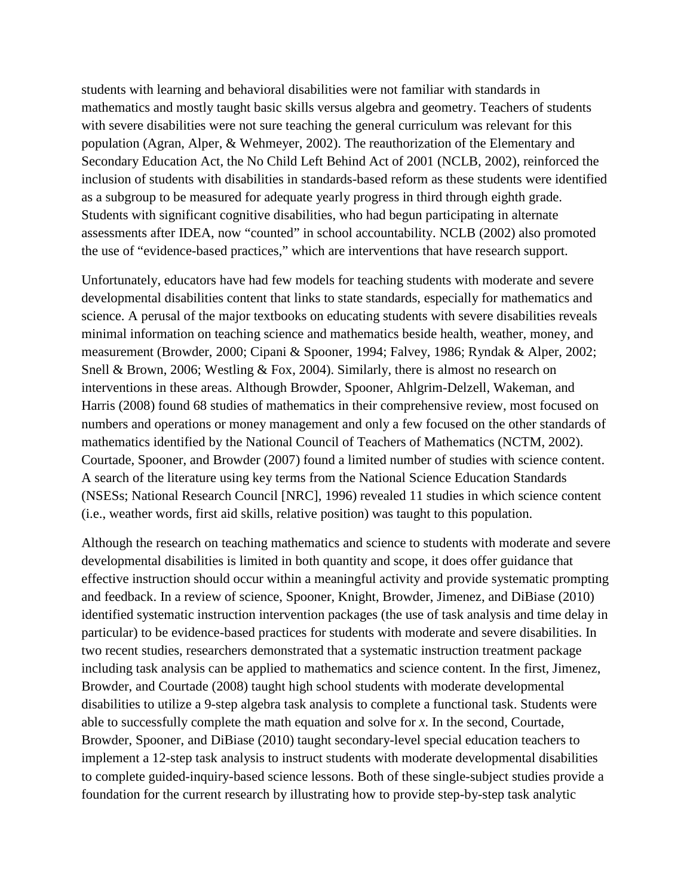students with learning and behavioral disabilities were not familiar with standards in mathematics and mostly taught basic skills versus algebra and geometry. Teachers of students with severe disabilities were not sure teaching the general curriculum was relevant for this population (Agran, Alper, & Wehmeyer, 2002). The reauthorization of the Elementary and Secondary Education Act, the No Child Left Behind Act of 2001 (NCLB, 2002), reinforced the inclusion of students with disabilities in standards-based reform as these students were identified as a subgroup to be measured for adequate yearly progress in third through eighth grade. Students with significant cognitive disabilities, who had begun participating in alternate assessments after IDEA, now "counted" in school accountability. NCLB (2002) also promoted the use of "evidence-based practices," which are interventions that have research support.

Unfortunately, educators have had few models for teaching students with moderate and severe developmental disabilities content that links to state standards, especially for mathematics and science. A perusal of the major textbooks on educating students with severe disabilities reveals minimal information on teaching science and mathematics beside health, weather, money, and measurement (Browder, 2000; Cipani & Spooner, 1994; Falvey, 1986; Ryndak & Alper, 2002; Snell & Brown, 2006; Westling & Fox, 2004). Similarly, there is almost no research on interventions in these areas. Although Browder, Spooner, Ahlgrim-Delzell, Wakeman, and Harris (2008) found 68 studies of mathematics in their comprehensive review, most focused on numbers and operations or money management and only a few focused on the other standards of mathematics identified by the National Council of Teachers of Mathematics (NCTM, 2002). Courtade, Spooner, and Browder (2007) found a limited number of studies with science content. A search of the literature using key terms from the National Science Education Standards (NSESs; National Research Council [NRC], 1996) revealed 11 studies in which science content (i.e., weather words, first aid skills, relative position) was taught to this population.

Although the research on teaching mathematics and science to students with moderate and severe developmental disabilities is limited in both quantity and scope, it does offer guidance that effective instruction should occur within a meaningful activity and provide systematic prompting and feedback. In a review of science, Spooner, Knight, Browder, Jimenez, and DiBiase (2010) identified systematic instruction intervention packages (the use of task analysis and time delay in particular) to be evidence-based practices for students with moderate and severe disabilities. In two recent studies, researchers demonstrated that a systematic instruction treatment package including task analysis can be applied to mathematics and science content. In the first, Jimenez, Browder, and Courtade (2008) taught high school students with moderate developmental disabilities to utilize a 9-step algebra task analysis to complete a functional task. Students were able to successfully complete the math equation and solve for *x*. In the second, Courtade, Browder, Spooner, and DiBiase (2010) taught secondary-level special education teachers to implement a 12-step task analysis to instruct students with moderate developmental disabilities to complete guided-inquiry-based science lessons. Both of these single-subject studies provide a foundation for the current research by illustrating how to provide step-by-step task analytic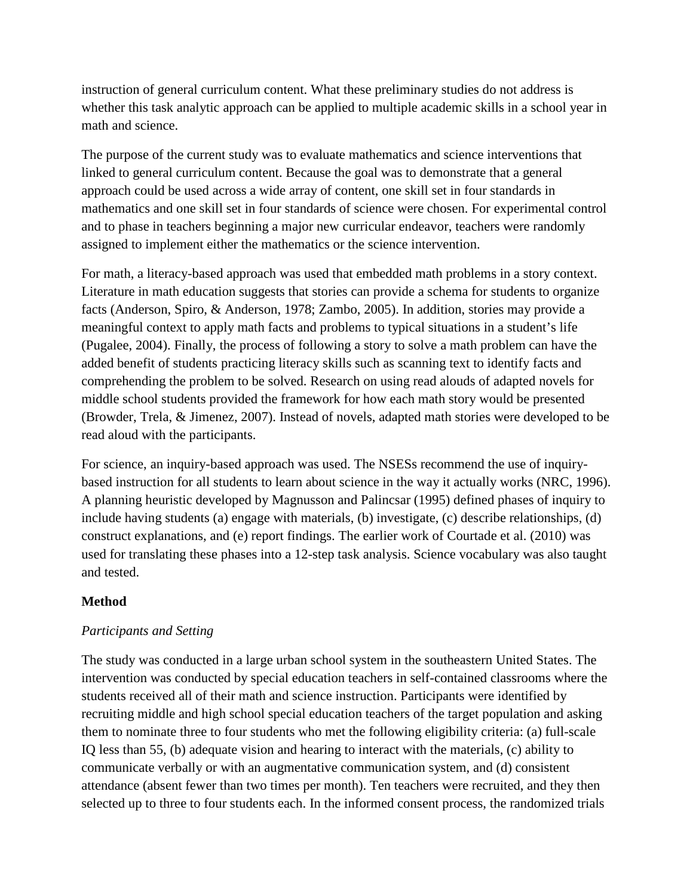instruction of general curriculum content. What these preliminary studies do not address is whether this task analytic approach can be applied to multiple academic skills in a school year in math and science.

The purpose of the current study was to evaluate mathematics and science interventions that linked to general curriculum content. Because the goal was to demonstrate that a general approach could be used across a wide array of content, one skill set in four standards in mathematics and one skill set in four standards of science were chosen. For experimental control and to phase in teachers beginning a major new curricular endeavor, teachers were randomly assigned to implement either the mathematics or the science intervention.

For math, a literacy-based approach was used that embedded math problems in a story context. Literature in math education suggests that stories can provide a schema for students to organize facts (Anderson, Spiro, & Anderson, 1978; Zambo, 2005). In addition, stories may provide a meaningful context to apply math facts and problems to typical situations in a student's life (Pugalee, 2004). Finally, the process of following a story to solve a math problem can have the added benefit of students practicing literacy skills such as scanning text to identify facts and comprehending the problem to be solved. Research on using read alouds of adapted novels for middle school students provided the framework for how each math story would be presented (Browder, Trela, & Jimenez, 2007). Instead of novels, adapted math stories were developed to be read aloud with the participants.

For science, an inquiry-based approach was used. The NSESs recommend the use of inquirybased instruction for all students to learn about science in the way it actually works (NRC, 1996). A planning heuristic developed by Magnusson and Palincsar (1995) defined phases of inquiry to include having students (a) engage with materials, (b) investigate, (c) describe relationships, (d) construct explanations, and (e) report findings. The earlier work of Courtade et al. (2010) was used for translating these phases into a 12-step task analysis. Science vocabulary was also taught and tested.

## **Method**

## *Participants and Setting*

The study was conducted in a large urban school system in the southeastern United States. The intervention was conducted by special education teachers in self-contained classrooms where the students received all of their math and science instruction. Participants were identified by recruiting middle and high school special education teachers of the target population and asking them to nominate three to four students who met the following eligibility criteria: (a) full-scale IQ less than 55, (b) adequate vision and hearing to interact with the materials, (c) ability to communicate verbally or with an augmentative communication system, and (d) consistent attendance (absent fewer than two times per month). Ten teachers were recruited, and they then selected up to three to four students each. In the informed consent process, the randomized trials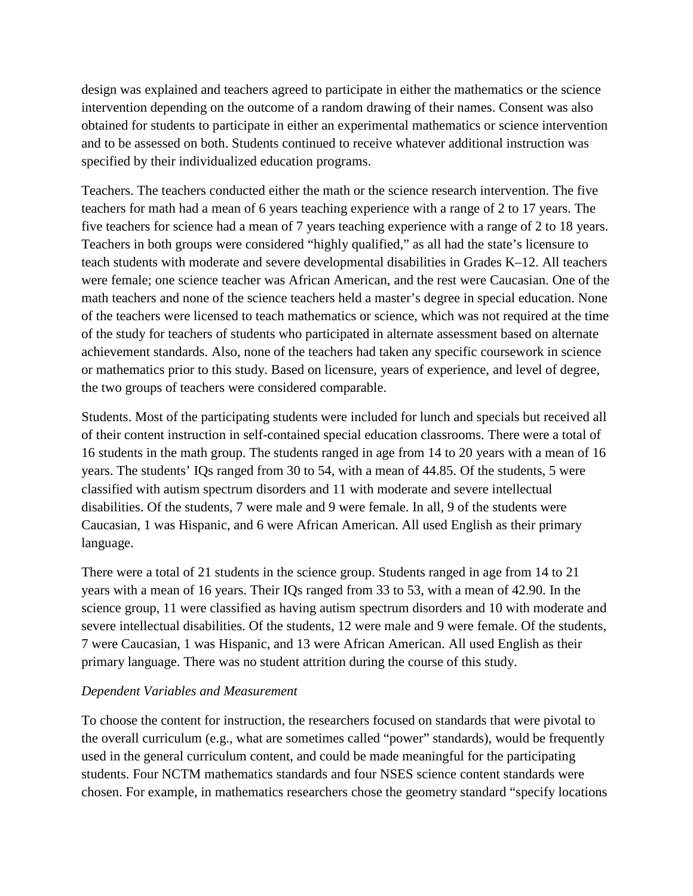design was explained and teachers agreed to participate in either the mathematics or the science intervention depending on the outcome of a random drawing of their names. Consent was also obtained for students to participate in either an experimental mathematics or science intervention and to be assessed on both. Students continued to receive whatever additional instruction was specified by their individualized education programs.

Teachers. The teachers conducted either the math or the science research intervention. The five teachers for math had a mean of 6 years teaching experience with a range of 2 to 17 years. The five teachers for science had a mean of 7 years teaching experience with a range of 2 to 18 years. Teachers in both groups were considered "highly qualified," as all had the state's licensure to teach students with moderate and severe developmental disabilities in Grades K–12. All teachers were female; one science teacher was African American, and the rest were Caucasian. One of the math teachers and none of the science teachers held a master's degree in special education. None of the teachers were licensed to teach mathematics or science, which was not required at the time of the study for teachers of students who participated in alternate assessment based on alternate achievement standards. Also, none of the teachers had taken any specific coursework in science or mathematics prior to this study. Based on licensure, years of experience, and level of degree, the two groups of teachers were considered comparable.

Students. Most of the participating students were included for lunch and specials but received all of their content instruction in self-contained special education classrooms. There were a total of 16 students in the math group. The students ranged in age from 14 to 20 years with a mean of 16 years. The students' IQs ranged from 30 to 54, with a mean of 44.85. Of the students, 5 were classified with autism spectrum disorders and 11 with moderate and severe intellectual disabilities. Of the students, 7 were male and 9 were female. In all, 9 of the students were Caucasian, 1 was Hispanic, and 6 were African American. All used English as their primary language.

There were a total of 21 students in the science group. Students ranged in age from 14 to 21 years with a mean of 16 years. Their IQs ranged from 33 to 53, with a mean of 42.90. In the science group, 11 were classified as having autism spectrum disorders and 10 with moderate and severe intellectual disabilities. Of the students, 12 were male and 9 were female. Of the students, 7 were Caucasian, 1 was Hispanic, and 13 were African American. All used English as their primary language. There was no student attrition during the course of this study.

### *Dependent Variables and Measurement*

To choose the content for instruction, the researchers focused on standards that were pivotal to the overall curriculum (e.g., what are sometimes called "power" standards), would be frequently used in the general curriculum content, and could be made meaningful for the participating students. Four NCTM mathematics standards and four NSES science content standards were chosen. For example, in mathematics researchers chose the geometry standard "specify locations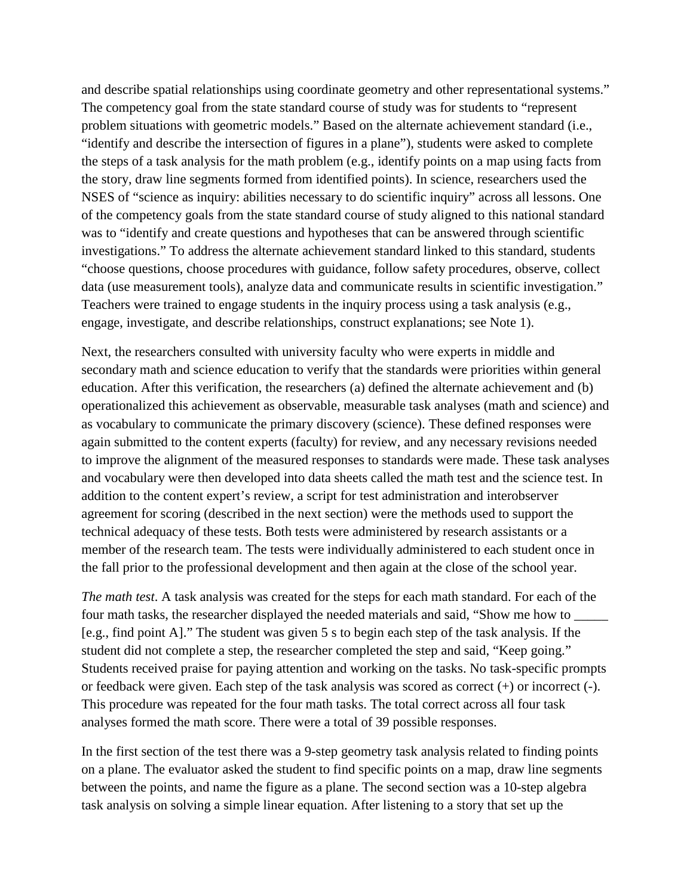and describe spatial relationships using coordinate geometry and other representational systems." The competency goal from the state standard course of study was for students to "represent problem situations with geometric models." Based on the alternate achievement standard (i.e., "identify and describe the intersection of figures in a plane"), students were asked to complete the steps of a task analysis for the math problem (e.g., identify points on a map using facts from the story, draw line segments formed from identified points). In science, researchers used the NSES of "science as inquiry: abilities necessary to do scientific inquiry" across all lessons. One of the competency goals from the state standard course of study aligned to this national standard was to "identify and create questions and hypotheses that can be answered through scientific investigations." To address the alternate achievement standard linked to this standard, students "choose questions, choose procedures with guidance, follow safety procedures, observe, collect data (use measurement tools), analyze data and communicate results in scientific investigation." Teachers were trained to engage students in the inquiry process using a task analysis (e.g., engage, investigate, and describe relationships, construct explanations; see Note 1).

Next, the researchers consulted with university faculty who were experts in middle and secondary math and science education to verify that the standards were priorities within general education. After this verification, the researchers (a) defined the alternate achievement and (b) operationalized this achievement as observable, measurable task analyses (math and science) and as vocabulary to communicate the primary discovery (science). These defined responses were again submitted to the content experts (faculty) for review, and any necessary revisions needed to improve the alignment of the measured responses to standards were made. These task analyses and vocabulary were then developed into data sheets called the math test and the science test. In addition to the content expert's review, a script for test administration and interobserver agreement for scoring (described in the next section) were the methods used to support the technical adequacy of these tests. Both tests were administered by research assistants or a member of the research team. The tests were individually administered to each student once in the fall prior to the professional development and then again at the close of the school year.

*The math test*. A task analysis was created for the steps for each math standard. For each of the four math tasks, the researcher displayed the needed materials and said, "Show me how to  $\equiv$ [e.g., find point A]." The student was given 5 s to begin each step of the task analysis. If the student did not complete a step, the researcher completed the step and said, "Keep going." Students received praise for paying attention and working on the tasks. No task-specific prompts or feedback were given. Each step of the task analysis was scored as correct (+) or incorrect (-). This procedure was repeated for the four math tasks. The total correct across all four task analyses formed the math score. There were a total of 39 possible responses.

In the first section of the test there was a 9-step geometry task analysis related to finding points on a plane. The evaluator asked the student to find specific points on a map, draw line segments between the points, and name the figure as a plane. The second section was a 10-step algebra task analysis on solving a simple linear equation. After listening to a story that set up the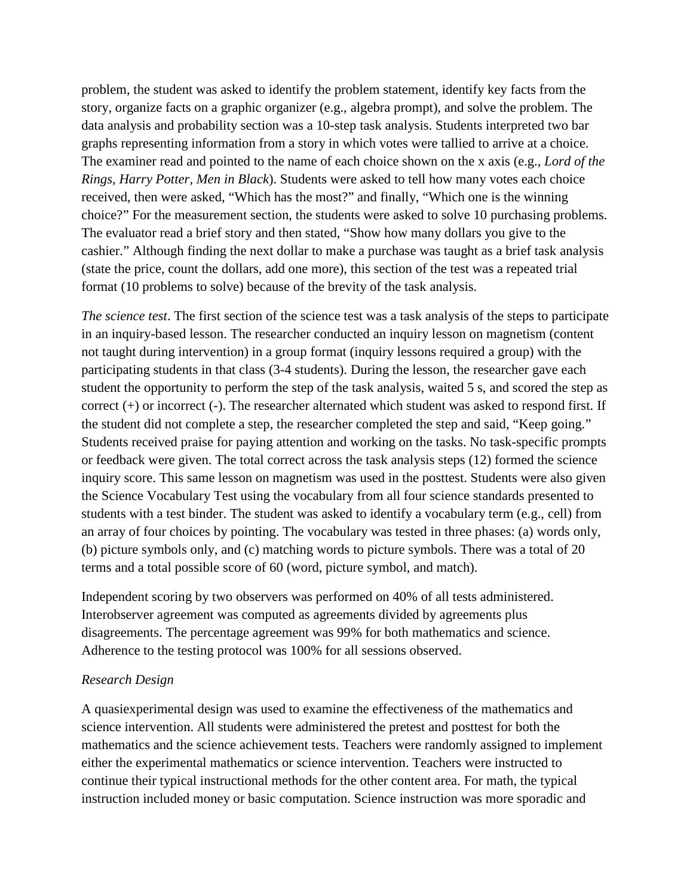problem, the student was asked to identify the problem statement, identify key facts from the story, organize facts on a graphic organizer (e.g., algebra prompt), and solve the problem. The data analysis and probability section was a 10-step task analysis. Students interpreted two bar graphs representing information from a story in which votes were tallied to arrive at a choice. The examiner read and pointed to the name of each choice shown on the x axis (e.g., *Lord of the Rings, Harry Potter, Men in Black*). Students were asked to tell how many votes each choice received, then were asked, "Which has the most?" and finally, "Which one is the winning choice?" For the measurement section, the students were asked to solve 10 purchasing problems. The evaluator read a brief story and then stated, "Show how many dollars you give to the cashier." Although finding the next dollar to make a purchase was taught as a brief task analysis (state the price, count the dollars, add one more), this section of the test was a repeated trial format (10 problems to solve) because of the brevity of the task analysis.

*The science test*. The first section of the science test was a task analysis of the steps to participate in an inquiry-based lesson. The researcher conducted an inquiry lesson on magnetism (content not taught during intervention) in a group format (inquiry lessons required a group) with the participating students in that class (3-4 students). During the lesson, the researcher gave each student the opportunity to perform the step of the task analysis, waited 5 s, and scored the step as correct (+) or incorrect (-). The researcher alternated which student was asked to respond first. If the student did not complete a step, the researcher completed the step and said, "Keep going." Students received praise for paying attention and working on the tasks. No task-specific prompts or feedback were given. The total correct across the task analysis steps (12) formed the science inquiry score. This same lesson on magnetism was used in the posttest. Students were also given the Science Vocabulary Test using the vocabulary from all four science standards presented to students with a test binder. The student was asked to identify a vocabulary term (e.g., cell) from an array of four choices by pointing. The vocabulary was tested in three phases: (a) words only, (b) picture symbols only, and (c) matching words to picture symbols. There was a total of 20 terms and a total possible score of 60 (word, picture symbol, and match).

Independent scoring by two observers was performed on 40% of all tests administered. Interobserver agreement was computed as agreements divided by agreements plus disagreements. The percentage agreement was 99% for both mathematics and science. Adherence to the testing protocol was 100% for all sessions observed.

### *Research Design*

A quasiexperimental design was used to examine the effectiveness of the mathematics and science intervention. All students were administered the pretest and posttest for both the mathematics and the science achievement tests. Teachers were randomly assigned to implement either the experimental mathematics or science intervention. Teachers were instructed to continue their typical instructional methods for the other content area. For math, the typical instruction included money or basic computation. Science instruction was more sporadic and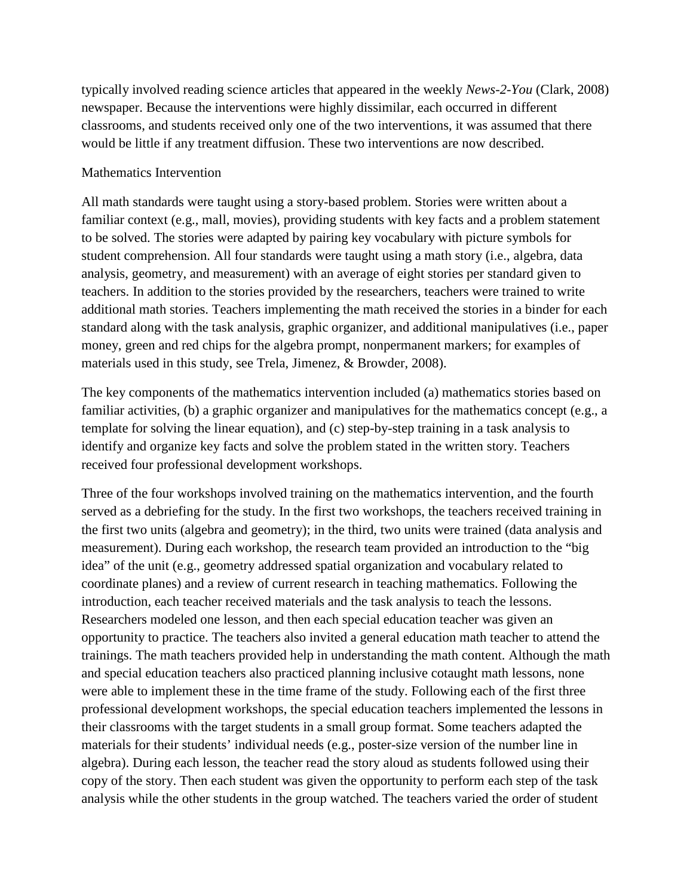typically involved reading science articles that appeared in the weekly *News-2-You* (Clark, 2008) newspaper. Because the interventions were highly dissimilar, each occurred in different classrooms, and students received only one of the two interventions, it was assumed that there would be little if any treatment diffusion. These two interventions are now described.

### Mathematics Intervention

All math standards were taught using a story-based problem. Stories were written about a familiar context (e.g., mall, movies), providing students with key facts and a problem statement to be solved. The stories were adapted by pairing key vocabulary with picture symbols for student comprehension. All four standards were taught using a math story (i.e., algebra, data analysis, geometry, and measurement) with an average of eight stories per standard given to teachers. In addition to the stories provided by the researchers, teachers were trained to write additional math stories. Teachers implementing the math received the stories in a binder for each standard along with the task analysis, graphic organizer, and additional manipulatives (i.e., paper money, green and red chips for the algebra prompt, nonpermanent markers; for examples of materials used in this study, see Trela, Jimenez, & Browder, 2008).

The key components of the mathematics intervention included (a) mathematics stories based on familiar activities, (b) a graphic organizer and manipulatives for the mathematics concept (e.g., a template for solving the linear equation), and (c) step-by-step training in a task analysis to identify and organize key facts and solve the problem stated in the written story. Teachers received four professional development workshops.

Three of the four workshops involved training on the mathematics intervention, and the fourth served as a debriefing for the study. In the first two workshops, the teachers received training in the first two units (algebra and geometry); in the third, two units were trained (data analysis and measurement). During each workshop, the research team provided an introduction to the "big idea" of the unit (e.g., geometry addressed spatial organization and vocabulary related to coordinate planes) and a review of current research in teaching mathematics. Following the introduction, each teacher received materials and the task analysis to teach the lessons. Researchers modeled one lesson, and then each special education teacher was given an opportunity to practice. The teachers also invited a general education math teacher to attend the trainings. The math teachers provided help in understanding the math content. Although the math and special education teachers also practiced planning inclusive cotaught math lessons, none were able to implement these in the time frame of the study. Following each of the first three professional development workshops, the special education teachers implemented the lessons in their classrooms with the target students in a small group format. Some teachers adapted the materials for their students' individual needs (e.g., poster-size version of the number line in algebra). During each lesson, the teacher read the story aloud as students followed using their copy of the story. Then each student was given the opportunity to perform each step of the task analysis while the other students in the group watched. The teachers varied the order of student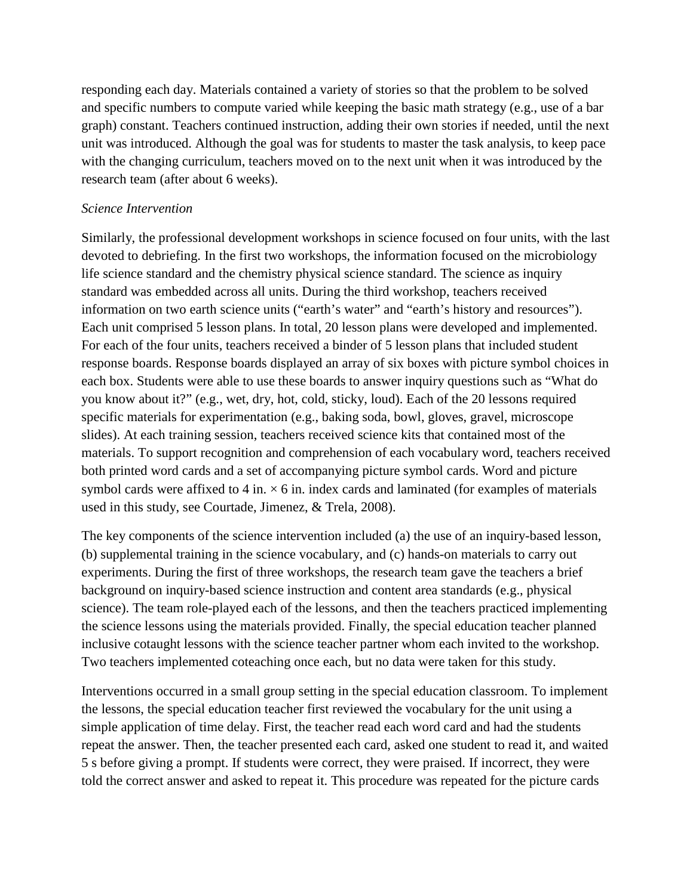responding each day. Materials contained a variety of stories so that the problem to be solved and specific numbers to compute varied while keeping the basic math strategy (e.g., use of a bar graph) constant. Teachers continued instruction, adding their own stories if needed, until the next unit was introduced. Although the goal was for students to master the task analysis, to keep pace with the changing curriculum, teachers moved on to the next unit when it was introduced by the research team (after about 6 weeks).

### *Science Intervention*

Similarly, the professional development workshops in science focused on four units, with the last devoted to debriefing. In the first two workshops, the information focused on the microbiology life science standard and the chemistry physical science standard. The science as inquiry standard was embedded across all units. During the third workshop, teachers received information on two earth science units ("earth's water" and "earth's history and resources"). Each unit comprised 5 lesson plans. In total, 20 lesson plans were developed and implemented. For each of the four units, teachers received a binder of 5 lesson plans that included student response boards. Response boards displayed an array of six boxes with picture symbol choices in each box. Students were able to use these boards to answer inquiry questions such as "What do you know about it?" (e.g., wet, dry, hot, cold, sticky, loud). Each of the 20 lessons required specific materials for experimentation (e.g., baking soda, bowl, gloves, gravel, microscope slides). At each training session, teachers received science kits that contained most of the materials. To support recognition and comprehension of each vocabulary word, teachers received both printed word cards and a set of accompanying picture symbol cards. Word and picture symbol cards were affixed to 4 in.  $\times$  6 in. index cards and laminated (for examples of materials used in this study, see Courtade, Jimenez, & Trela, 2008).

The key components of the science intervention included (a) the use of an inquiry-based lesson, (b) supplemental training in the science vocabulary, and (c) hands-on materials to carry out experiments. During the first of three workshops, the research team gave the teachers a brief background on inquiry-based science instruction and content area standards (e.g., physical science). The team role-played each of the lessons, and then the teachers practiced implementing the science lessons using the materials provided. Finally, the special education teacher planned inclusive cotaught lessons with the science teacher partner whom each invited to the workshop. Two teachers implemented coteaching once each, but no data were taken for this study.

Interventions occurred in a small group setting in the special education classroom. To implement the lessons, the special education teacher first reviewed the vocabulary for the unit using a simple application of time delay. First, the teacher read each word card and had the students repeat the answer. Then, the teacher presented each card, asked one student to read it, and waited 5 s before giving a prompt. If students were correct, they were praised. If incorrect, they were told the correct answer and asked to repeat it. This procedure was repeated for the picture cards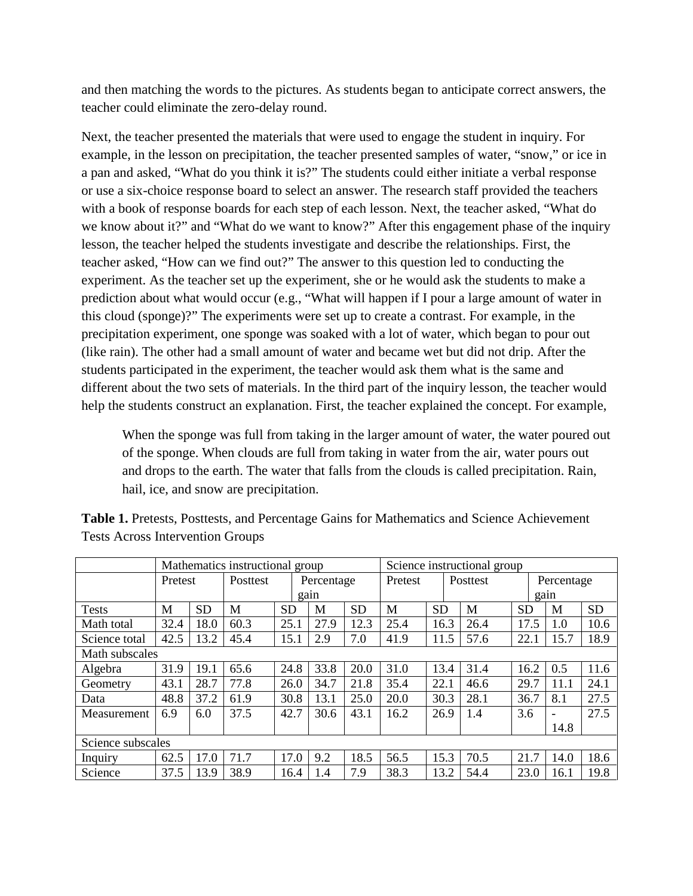and then matching the words to the pictures. As students began to anticipate correct answers, the teacher could eliminate the zero-delay round.

Next, the teacher presented the materials that were used to engage the student in inquiry. For example, in the lesson on precipitation, the teacher presented samples of water, "snow," or ice in a pan and asked, "What do you think it is?" The students could either initiate a verbal response or use a six-choice response board to select an answer. The research staff provided the teachers with a book of response boards for each step of each lesson. Next, the teacher asked, "What do we know about it?" and "What do we want to know?" After this engagement phase of the inquiry lesson, the teacher helped the students investigate and describe the relationships. First, the teacher asked, "How can we find out?" The answer to this question led to conducting the experiment. As the teacher set up the experiment, she or he would ask the students to make a prediction about what would occur (e.g., "What will happen if I pour a large amount of water in this cloud (sponge)?" The experiments were set up to create a contrast. For example, in the precipitation experiment, one sponge was soaked with a lot of water, which began to pour out (like rain). The other had a small amount of water and became wet but did not drip. After the students participated in the experiment, the teacher would ask them what is the same and different about the two sets of materials. In the third part of the inquiry lesson, the teacher would help the students construct an explanation. First, the teacher explained the concept. For example,

When the sponge was full from taking in the larger amount of water, the water poured out of the sponge. When clouds are full from taking in water from the air, water pours out and drops to the earth. The water that falls from the clouds is called precipitation. Rain, hail, ice, and snow are precipitation.

|                   | Mathematics instructional group |           |          |           |            |           | Science instructional group |           |          |            |      |           |
|-------------------|---------------------------------|-----------|----------|-----------|------------|-----------|-----------------------------|-----------|----------|------------|------|-----------|
|                   | Pretest                         |           | Posttest |           | Percentage |           | Pretest                     |           | Posttest | Percentage |      |           |
|                   |                                 |           |          | gain      |            |           |                             |           | gain     |            |      |           |
| <b>Tests</b>      | M                               | <b>SD</b> | M        | <b>SD</b> | M          | <b>SD</b> | M                           | <b>SD</b> | M        | <b>SD</b>  | M    | <b>SD</b> |
| Math total        | 32.4                            | 18.0      | 60.3     | 25.1      | 27.9       | 12.3      | 25.4                        | 16.3      | 26.4     | 17.5       | 1.0  | 10.6      |
| Science total     | 42.5                            | 13.2      | 45.4     | 15.1      | 2.9        | 7.0       | 41.9                        | 11.5      | 57.6     | 22.1       | 15.7 | 18.9      |
| Math subscales    |                                 |           |          |           |            |           |                             |           |          |            |      |           |
| Algebra           | 31.9                            | 19.1      | 65.6     | 24.8      | 33.8       | 20.0      | 31.0                        | 13.4      | 31.4     | 16.2       | 0.5  | 11.6      |
| Geometry          | 43.1                            | 28.7      | 77.8     | 26.0      | 34.7       | 21.8      | 35.4                        | 22.1      | 46.6     | 29.7       | 11.1 | 24.1      |
| Data              | 48.8                            | 37.2      | 61.9     | 30.8      | 13.1       | 25.0      | 20.0                        | 30.3      | 28.1     | 36.7       | 8.1  | 27.5      |
| Measurement       | 6.9                             | 6.0       | 37.5     | 42.7      | 30.6       | 43.1      | 16.2                        | 26.9      | 1.4      | 3.6        |      | 27.5      |
|                   |                                 |           |          |           |            |           |                             |           |          |            | 14.8 |           |
| Science subscales |                                 |           |          |           |            |           |                             |           |          |            |      |           |
| Inquiry           | 62.5                            | 17.0      | 71.7     | 17.0      | 9.2        | 18.5      | 56.5                        | 15.3      | 70.5     | 21.7       | 14.0 | 18.6      |
| Science           | 37.5                            | 13.9      | 38.9     | 16.4      | 1.4        | 7.9       | 38.3                        | 13.2      | 54.4     | 23.0       | 16.1 | 19.8      |

**Table 1.** Pretests, Posttests, and Percentage Gains for Mathematics and Science Achievement Tests Across Intervention Groups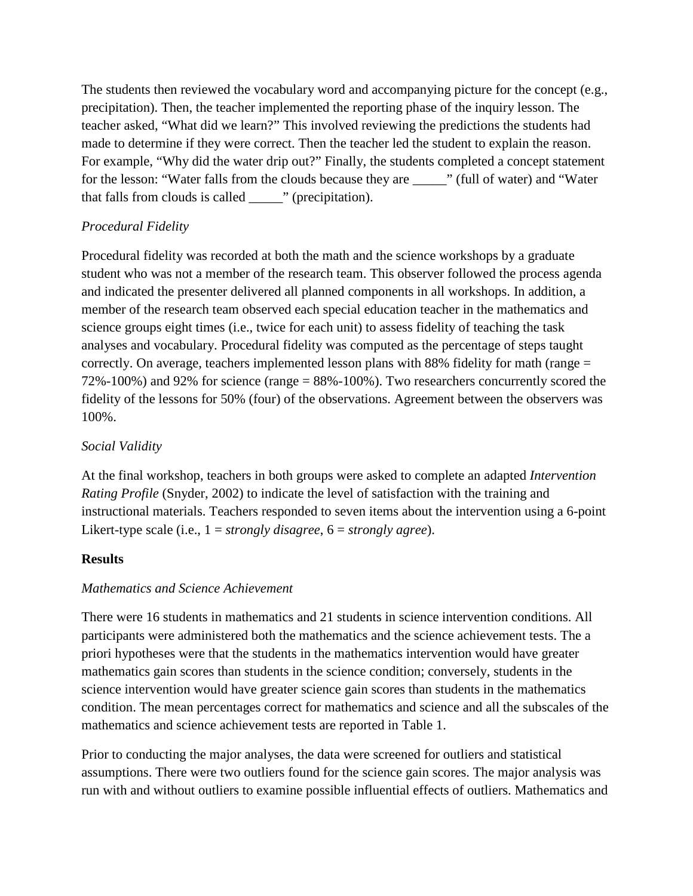The students then reviewed the vocabulary word and accompanying picture for the concept (e.g., precipitation). Then, the teacher implemented the reporting phase of the inquiry lesson. The teacher asked, "What did we learn?" This involved reviewing the predictions the students had made to determine if they were correct. Then the teacher led the student to explain the reason. For example, "Why did the water drip out?" Finally, the students completed a concept statement for the lesson: "Water falls from the clouds because they are \_\_\_\_\_" (full of water) and "Water that falls from clouds is called \_\_\_\_\_" (precipitation).

### *Procedural Fidelity*

Procedural fidelity was recorded at both the math and the science workshops by a graduate student who was not a member of the research team. This observer followed the process agenda and indicated the presenter delivered all planned components in all workshops. In addition, a member of the research team observed each special education teacher in the mathematics and science groups eight times (i.e., twice for each unit) to assess fidelity of teaching the task analyses and vocabulary. Procedural fidelity was computed as the percentage of steps taught correctly. On average, teachers implemented lesson plans with 88% fidelity for math (range = 72%-100%) and 92% for science (range = 88%-100%). Two researchers concurrently scored the fidelity of the lessons for 50% (four) of the observations. Agreement between the observers was 100%.

### *Social Validity*

At the final workshop, teachers in both groups were asked to complete an adapted *Intervention Rating Profile* (Snyder, 2002) to indicate the level of satisfaction with the training and instructional materials. Teachers responded to seven items about the intervention using a 6-point Likert-type scale (i.e., 1 = *strongly disagree*, 6 = *strongly agree*).

### **Results**

### *Mathematics and Science Achievement*

There were 16 students in mathematics and 21 students in science intervention conditions. All participants were administered both the mathematics and the science achievement tests. The a priori hypotheses were that the students in the mathematics intervention would have greater mathematics gain scores than students in the science condition; conversely, students in the science intervention would have greater science gain scores than students in the mathematics condition. The mean percentages correct for mathematics and science and all the subscales of the mathematics and science achievement tests are reported in Table 1.

Prior to conducting the major analyses, the data were screened for outliers and statistical assumptions. There were two outliers found for the science gain scores. The major analysis was run with and without outliers to examine possible influential effects of outliers. Mathematics and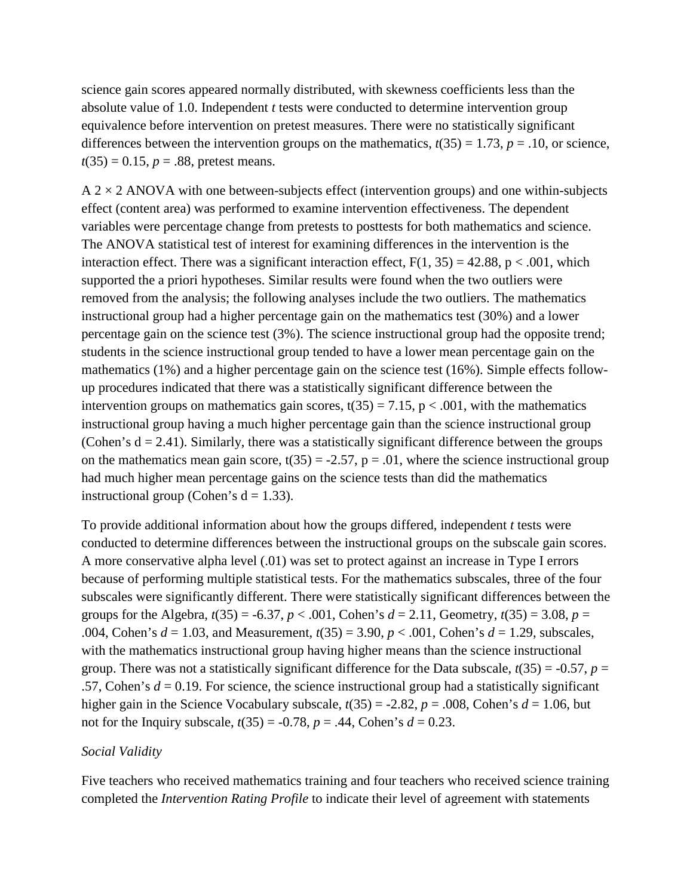science gain scores appeared normally distributed, with skewness coefficients less than the absolute value of 1.0. Independent *t* tests were conducted to determine intervention group equivalence before intervention on pretest measures. There were no statistically significant differences between the intervention groups on the mathematics,  $t(35) = 1.73$ ,  $p = .10$ , or science,  $t(35) = 0.15$ ,  $p = .88$ , pretest means.

 $A$  2  $\times$  2 ANOVA with one between-subjects effect (intervention groups) and one within-subjects effect (content area) was performed to examine intervention effectiveness. The dependent variables were percentage change from pretests to posttests for both mathematics and science. The ANOVA statistical test of interest for examining differences in the intervention is the interaction effect. There was a significant interaction effect,  $F(1, 35) = 42.88$ ,  $p < .001$ , which supported the a priori hypotheses. Similar results were found when the two outliers were removed from the analysis; the following analyses include the two outliers. The mathematics instructional group had a higher percentage gain on the mathematics test (30%) and a lower percentage gain on the science test (3%). The science instructional group had the opposite trend; students in the science instructional group tended to have a lower mean percentage gain on the mathematics (1%) and a higher percentage gain on the science test (16%). Simple effects followup procedures indicated that there was a statistically significant difference between the intervention groups on mathematics gain scores,  $t(35) = 7.15$ ,  $p < .001$ , with the mathematics instructional group having a much higher percentage gain than the science instructional group (Cohen's  $d = 2.41$ ). Similarly, there was a statistically significant difference between the groups on the mathematics mean gain score,  $t(35) = -2.57$ ,  $p = .01$ , where the science instructional group had much higher mean percentage gains on the science tests than did the mathematics instructional group (Cohen's  $d = 1.33$ ).

To provide additional information about how the groups differed, independent *t* tests were conducted to determine differences between the instructional groups on the subscale gain scores. A more conservative alpha level (.01) was set to protect against an increase in Type I errors because of performing multiple statistical tests. For the mathematics subscales, three of the four subscales were significantly different. There were statistically significant differences between the groups for the Algebra,  $t(35) = -6.37$ ,  $p < .001$ , Cohen's  $d = 2.11$ , Geometry,  $t(35) = 3.08$ ,  $p =$ .004, Cohen's *d* = 1.03, and Measurement, *t*(35) = 3.90, *p* < .001, Cohen's *d* = 1.29, subscales, with the mathematics instructional group having higher means than the science instructional group. There was not a statistically significant difference for the Data subscale,  $t(35) = -0.57$ ,  $p =$ .57, Cohen's  $d = 0.19$ . For science, the science instructional group had a statistically significant higher gain in the Science Vocabulary subscale,  $t(35) = -2.82$ ,  $p = .008$ , Cohen's  $d = 1.06$ , but not for the Inquiry subscale,  $t(35) = -0.78$ ,  $p = .44$ , Cohen's  $d = 0.23$ .

#### *Social Validity*

Five teachers who received mathematics training and four teachers who received science training completed the *Intervention Rating Profile* to indicate their level of agreement with statements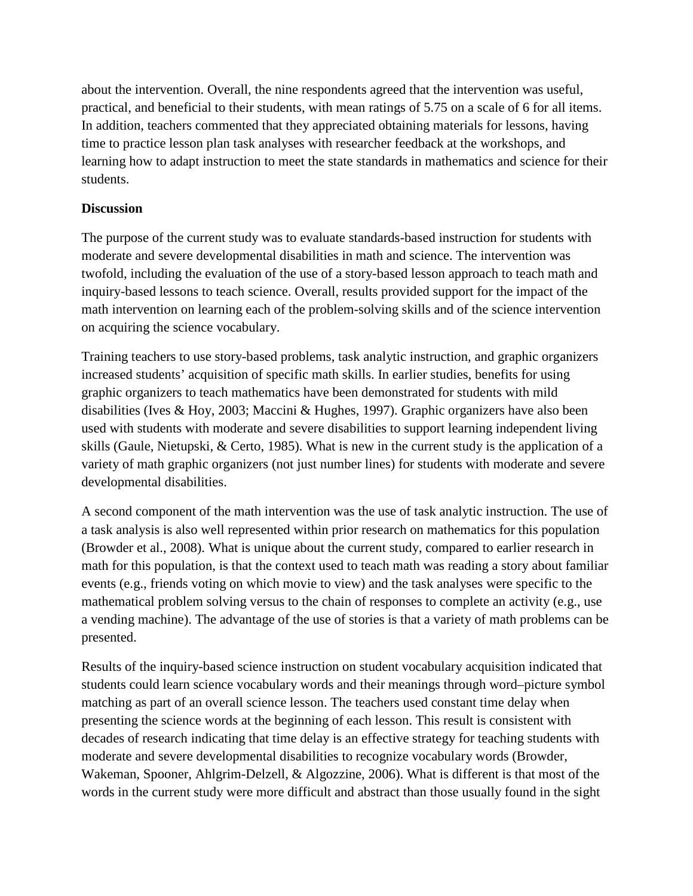about the intervention. Overall, the nine respondents agreed that the intervention was useful, practical, and beneficial to their students, with mean ratings of 5.75 on a scale of 6 for all items. In addition, teachers commented that they appreciated obtaining materials for lessons, having time to practice lesson plan task analyses with researcher feedback at the workshops, and learning how to adapt instruction to meet the state standards in mathematics and science for their students.

## **Discussion**

The purpose of the current study was to evaluate standards-based instruction for students with moderate and severe developmental disabilities in math and science. The intervention was twofold, including the evaluation of the use of a story-based lesson approach to teach math and inquiry-based lessons to teach science. Overall, results provided support for the impact of the math intervention on learning each of the problem-solving skills and of the science intervention on acquiring the science vocabulary.

Training teachers to use story-based problems, task analytic instruction, and graphic organizers increased students' acquisition of specific math skills. In earlier studies, benefits for using graphic organizers to teach mathematics have been demonstrated for students with mild disabilities (Ives & Hoy, 2003; Maccini & Hughes, 1997). Graphic organizers have also been used with students with moderate and severe disabilities to support learning independent living skills (Gaule, Nietupski, & Certo, 1985). What is new in the current study is the application of a variety of math graphic organizers (not just number lines) for students with moderate and severe developmental disabilities.

A second component of the math intervention was the use of task analytic instruction. The use of a task analysis is also well represented within prior research on mathematics for this population (Browder et al., 2008). What is unique about the current study, compared to earlier research in math for this population, is that the context used to teach math was reading a story about familiar events (e.g., friends voting on which movie to view) and the task analyses were specific to the mathematical problem solving versus to the chain of responses to complete an activity (e.g., use a vending machine). The advantage of the use of stories is that a variety of math problems can be presented.

Results of the inquiry-based science instruction on student vocabulary acquisition indicated that students could learn science vocabulary words and their meanings through word–picture symbol matching as part of an overall science lesson. The teachers used constant time delay when presenting the science words at the beginning of each lesson. This result is consistent with decades of research indicating that time delay is an effective strategy for teaching students with moderate and severe developmental disabilities to recognize vocabulary words (Browder, Wakeman, Spooner, Ahlgrim-Delzell, & Algozzine, 2006). What is different is that most of the words in the current study were more difficult and abstract than those usually found in the sight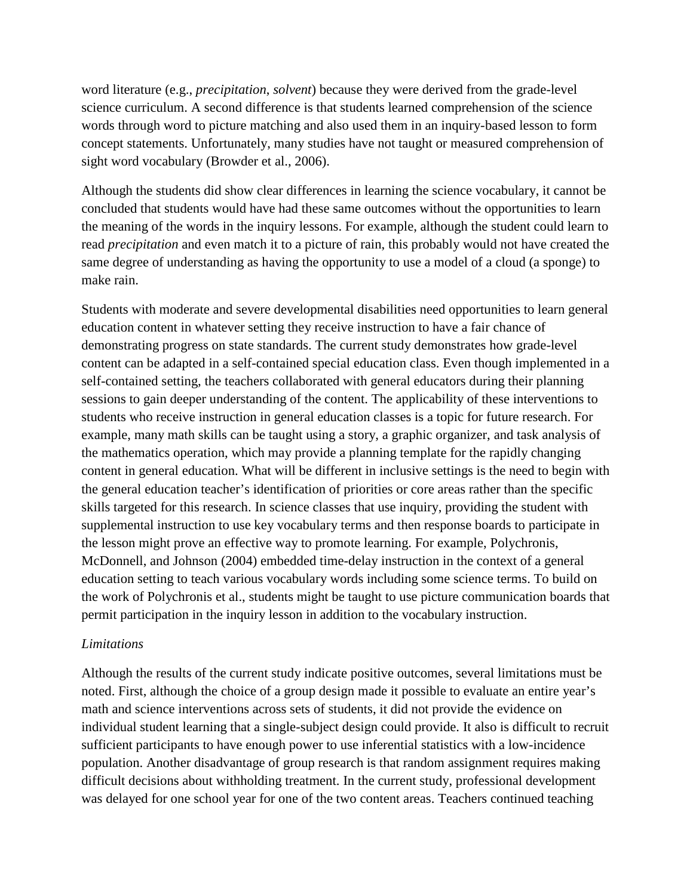word literature (e.g., *precipitation*, *solvent*) because they were derived from the grade-level science curriculum. A second difference is that students learned comprehension of the science words through word to picture matching and also used them in an inquiry-based lesson to form concept statements. Unfortunately, many studies have not taught or measured comprehension of sight word vocabulary (Browder et al., 2006).

Although the students did show clear differences in learning the science vocabulary, it cannot be concluded that students would have had these same outcomes without the opportunities to learn the meaning of the words in the inquiry lessons. For example, although the student could learn to read *precipitation* and even match it to a picture of rain, this probably would not have created the same degree of understanding as having the opportunity to use a model of a cloud (a sponge) to make rain.

Students with moderate and severe developmental disabilities need opportunities to learn general education content in whatever setting they receive instruction to have a fair chance of demonstrating progress on state standards. The current study demonstrates how grade-level content can be adapted in a self-contained special education class. Even though implemented in a self-contained setting, the teachers collaborated with general educators during their planning sessions to gain deeper understanding of the content. The applicability of these interventions to students who receive instruction in general education classes is a topic for future research. For example, many math skills can be taught using a story, a graphic organizer, and task analysis of the mathematics operation, which may provide a planning template for the rapidly changing content in general education. What will be different in inclusive settings is the need to begin with the general education teacher's identification of priorities or core areas rather than the specific skills targeted for this research. In science classes that use inquiry, providing the student with supplemental instruction to use key vocabulary terms and then response boards to participate in the lesson might prove an effective way to promote learning. For example, Polychronis, McDonnell, and Johnson (2004) embedded time-delay instruction in the context of a general education setting to teach various vocabulary words including some science terms. To build on the work of Polychronis et al., students might be taught to use picture communication boards that permit participation in the inquiry lesson in addition to the vocabulary instruction.

### *Limitations*

Although the results of the current study indicate positive outcomes, several limitations must be noted. First, although the choice of a group design made it possible to evaluate an entire year's math and science interventions across sets of students, it did not provide the evidence on individual student learning that a single-subject design could provide. It also is difficult to recruit sufficient participants to have enough power to use inferential statistics with a low-incidence population. Another disadvantage of group research is that random assignment requires making difficult decisions about withholding treatment. In the current study, professional development was delayed for one school year for one of the two content areas. Teachers continued teaching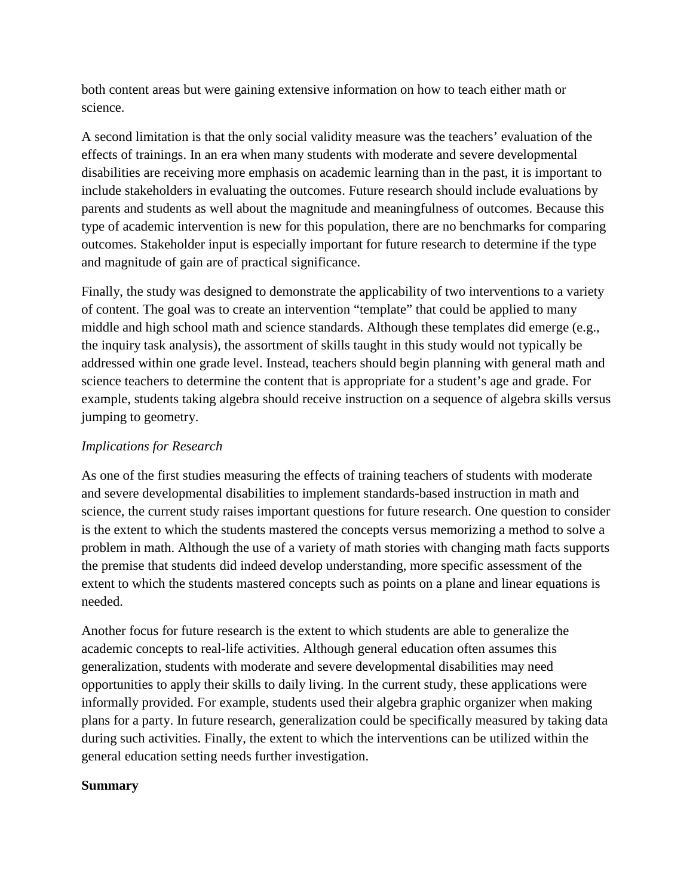both content areas but were gaining extensive information on how to teach either math or science.

A second limitation is that the only social validity measure was the teachers' evaluation of the effects of trainings. In an era when many students with moderate and severe developmental disabilities are receiving more emphasis on academic learning than in the past, it is important to include stakeholders in evaluating the outcomes. Future research should include evaluations by parents and students as well about the magnitude and meaningfulness of outcomes. Because this type of academic intervention is new for this population, there are no benchmarks for comparing outcomes. Stakeholder input is especially important for future research to determine if the type and magnitude of gain are of practical significance.

Finally, the study was designed to demonstrate the applicability of two interventions to a variety of content. The goal was to create an intervention "template" that could be applied to many middle and high school math and science standards. Although these templates did emerge (e.g., the inquiry task analysis), the assortment of skills taught in this study would not typically be addressed within one grade level. Instead, teachers should begin planning with general math and science teachers to determine the content that is appropriate for a student's age and grade. For example, students taking algebra should receive instruction on a sequence of algebra skills versus jumping to geometry.

# *Implications for Research*

As one of the first studies measuring the effects of training teachers of students with moderate and severe developmental disabilities to implement standards-based instruction in math and science, the current study raises important questions for future research. One question to consider is the extent to which the students mastered the concepts versus memorizing a method to solve a problem in math. Although the use of a variety of math stories with changing math facts supports the premise that students did indeed develop understanding, more specific assessment of the extent to which the students mastered concepts such as points on a plane and linear equations is needed.

Another focus for future research is the extent to which students are able to generalize the academic concepts to real-life activities. Although general education often assumes this generalization, students with moderate and severe developmental disabilities may need opportunities to apply their skills to daily living. In the current study, these applications were informally provided. For example, students used their algebra graphic organizer when making plans for a party. In future research, generalization could be specifically measured by taking data during such activities. Finally, the extent to which the interventions can be utilized within the general education setting needs further investigation.

## **Summary**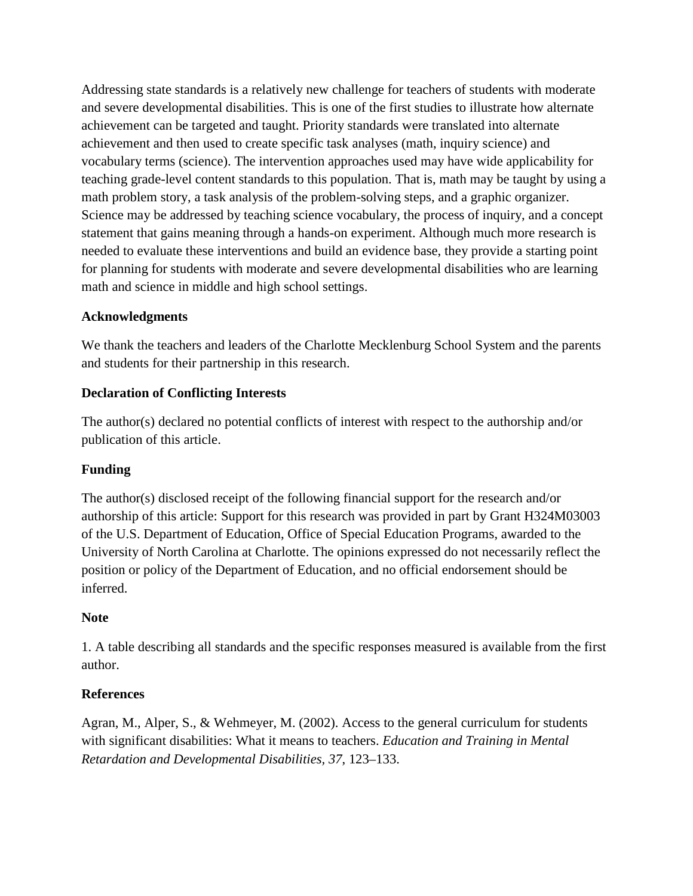Addressing state standards is a relatively new challenge for teachers of students with moderate and severe developmental disabilities. This is one of the first studies to illustrate how alternate achievement can be targeted and taught. Priority standards were translated into alternate achievement and then used to create specific task analyses (math, inquiry science) and vocabulary terms (science). The intervention approaches used may have wide applicability for teaching grade-level content standards to this population. That is, math may be taught by using a math problem story, a task analysis of the problem-solving steps, and a graphic organizer. Science may be addressed by teaching science vocabulary, the process of inquiry, and a concept statement that gains meaning through a hands-on experiment. Although much more research is needed to evaluate these interventions and build an evidence base, they provide a starting point for planning for students with moderate and severe developmental disabilities who are learning math and science in middle and high school settings.

# **Acknowledgments**

We thank the teachers and leaders of the Charlotte Mecklenburg School System and the parents and students for their partnership in this research.

# **Declaration of Conflicting Interests**

The author(s) declared no potential conflicts of interest with respect to the authorship and/or publication of this article.

## **Funding**

The author(s) disclosed receipt of the following financial support for the research and/or authorship of this article: Support for this research was provided in part by Grant H324M03003 of the U.S. Department of Education, Office of Special Education Programs, awarded to the University of North Carolina at Charlotte. The opinions expressed do not necessarily reflect the position or policy of the Department of Education, and no official endorsement should be inferred.

## **Note**

1. A table describing all standards and the specific responses measured is available from the first author.

## **References**

Agran, M., Alper, S., & Wehmeyer, M. (2002). Access to the general curriculum for students with significant disabilities: What it means to teachers. *Education and Training in Mental Retardation and Developmental Disabilities, 37*, 123–133.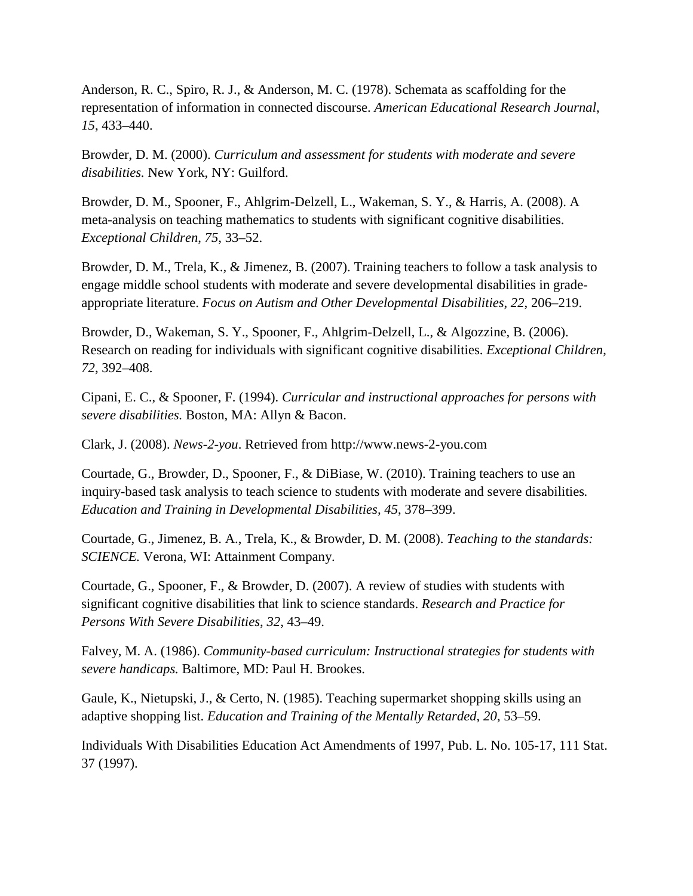Anderson, R. C., Spiro, R. J., & Anderson, M. C. (1978). Schemata as scaffolding for the representation of information in connected discourse. *American Educational Research Journal*, *15*, 433–440.

Browder, D. M. (2000). *Curriculum and assessment for students with moderate and severe disabilities.* New York, NY: Guilford.

Browder, D. M., Spooner, F., Ahlgrim-Delzell, L., Wakeman, S. Y., & Harris, A. (2008). A meta-analysis on teaching mathematics to students with significant cognitive disabilities. *Exceptional Children*, *75*, 33–52.

Browder, D. M., Trela, K., & Jimenez, B. (2007). Training teachers to follow a task analysis to engage middle school students with moderate and severe developmental disabilities in gradeappropriate literature. *Focus on Autism and Other Developmental Disabilities*, *22*, 206–219.

Browder, D., Wakeman, S. Y., Spooner, F., Ahlgrim-Delzell, L., & Algozzine, B. (2006). Research on reading for individuals with significant cognitive disabilities. *Exceptional Children*, *72*, 392–408.

Cipani, E. C., & Spooner, F. (1994). *Curricular and instructional approaches for persons with severe disabilities.* Boston, MA: Allyn & Bacon.

Clark, J. (2008). *News-2-you*. Retrieved from http://www.news-2-you.com

Courtade, G., Browder, D., Spooner, F., & DiBiase, W. (2010). Training teachers to use an inquiry-based task analysis to teach science to students with moderate and severe disabilities*. Education and Training in Developmental Disabilities, 45*, 378–399.

Courtade, G., Jimenez, B. A., Trela, K., & Browder, D. M. (2008). *Teaching to the standards: SCIENCE.* Verona, WI: Attainment Company.

Courtade, G., Spooner, F., & Browder, D. (2007). A review of studies with students with significant cognitive disabilities that link to science standards. *Research and Practice for Persons With Severe Disabilities*, *32*, 43–49.

Falvey, M. A. (1986). *Community-based curriculum: Instructional strategies for students with severe handicaps.* Baltimore, MD: Paul H. Brookes.

Gaule, K., Nietupski, J., & Certo, N. (1985). Teaching supermarket shopping skills using an adaptive shopping list. *Education and Training of the Mentally Retarded*, *20*, 53–59.

Individuals With Disabilities Education Act Amendments of 1997, Pub. L. No. 105-17, 111 Stat. 37 (1997).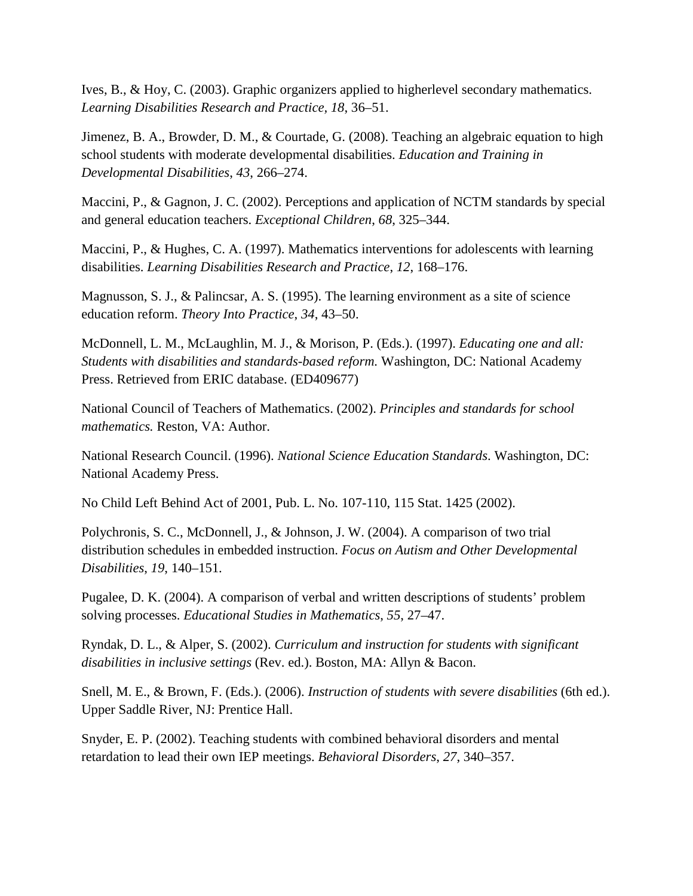Ives, B., & Hoy, C. (2003). Graphic organizers applied to higherlevel secondary mathematics. *Learning Disabilities Research and Practice, 18*, 36–51.

Jimenez, B. A., Browder, D. M., & Courtade, G. (2008). Teaching an algebraic equation to high school students with moderate developmental disabilities. *Education and Training in Developmental Disabilities*, *43*, 266–274.

Maccini, P., & Gagnon, J. C. (2002). Perceptions and application of NCTM standards by special and general education teachers. *Exceptional Children*, *68*, 325–344.

Maccini, P., & Hughes, C. A. (1997). Mathematics interventions for adolescents with learning disabilities. *Learning Disabilities Research and Practice*, *12*, 168–176.

Magnusson, S. J., & Palincsar, A. S. (1995). The learning environment as a site of science education reform. *Theory Into Practice*, *34*, 43–50.

McDonnell, L. M., McLaughlin, M. J., & Morison, P. (Eds.). (1997). *Educating one and all: Students with disabilities and standards-based reform.* Washington, DC: National Academy Press. Retrieved from ERIC database. (ED409677)

National Council of Teachers of Mathematics. (2002). *Principles and standards for school mathematics.* Reston, VA: Author.

National Research Council. (1996). *National Science Education Standards*. Washington, DC: National Academy Press.

No Child Left Behind Act of 2001, Pub. L. No. 107-110, 115 Stat. 1425 (2002).

Polychronis, S. C., McDonnell, J., & Johnson, J. W. (2004). A comparison of two trial distribution schedules in embedded instruction. *Focus on Autism and Other Developmental Disabilities*, *19*, 140–151.

Pugalee, D. K. (2004). A comparison of verbal and written descriptions of students' problem solving processes. *Educational Studies in Mathematics*, *55*, 27–47.

Ryndak, D. L., & Alper, S. (2002). *Curriculum and instruction for students with significant disabilities in inclusive settings* (Rev. ed.). Boston, MA: Allyn & Bacon.

Snell, M. E., & Brown, F. (Eds.). (2006). *Instruction of students with severe disabilities* (6th ed.). Upper Saddle River, NJ: Prentice Hall.

Snyder, E. P. (2002). Teaching students with combined behavioral disorders and mental retardation to lead their own IEP meetings. *Behavioral Disorders*, *27*, 340–357.